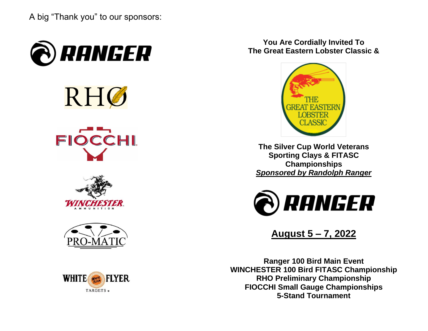A big "Thank you" to our sponsors:



RHØ









**You Are Cordially Invited To The Great Eastern Lobster Classic &**



**The Silver Cup World Veterans Sporting Clays & FITASC Championships** *Sponsored by Randolph Ranger*



**August 5 – 7, 2022**

**Ranger 100 Bird Main Event WINCHESTER 100 Bird FITASC Championship RHO Preliminary Championship FIOCCHI Small Gauge Championships 5-Stand Tournament**